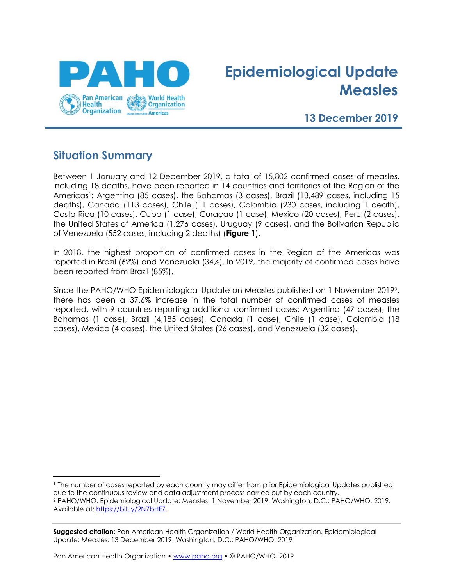

# **Epidemiological Update Measles**

### **13 December 2019**

### **Situation Summary**

Between 1 January and 12 December 2019, a total of 15,802 confirmed cases of measles, including 18 deaths, have been reported in 14 countries and territories of the Region of the Americas<sup>1</sup>: Argentina (85 cases), the Bahamas (3 cases), Brazil (13,489 cases, including 15 deaths), Canada (113 cases), Chile (11 cases), Colombia (230 cases, including 1 death), Costa Rica (10 cases), Cuba (1 case), Curaçao (1 case), Mexico (20 cases), Peru (2 cases), the United States of America (1,276 cases), Uruguay (9 cases), and the Bolivarian Republic of Venezuela (552 cases, including 2 deaths) (**Figure 1**).

In 2018, the highest proportion of confirmed cases in the Region of the Americas was reported in Brazil (62%) and Venezuela (34%). In 2019, the majority of confirmed cases have been reported from Brazil (85%).

Since the PAHO/WHO Epidemiological Update on Measles published on 1 November 20192, there has been a 37.6% increase in the total number of confirmed cases of measles reported, with 9 countries reporting additional confirmed cases: Argentina (47 cases), the Bahamas (1 case), Brazil (4,185 cases), Canada (1 case), Chile (1 case), Colombia (18 cases), Mexico (4 cases), the United States (26 cases), and Venezuela (32 cases).

**Suggested citation:** Pan American Health Organization / World Health Organization. Epidemiological Update: Measles. 13 December 2019, Washington, D.C.: PAHO/WHO; 2019

<sup>1</sup> The number of cases reported by each country may differ from prior Epidemiological Updates published due to the continuous review and data adjustment process carried out by each country. <sup>2</sup> PAHO/WHO. Epidemiological Update: Measles. 1 November 2019, Washington, D.C.: PAHO/WHO; 2019. Available at: [https://bit.ly/2N7bHEZ.](https://nam12.safelinks.protection.outlook.com/?url=https%3A%2F%2Fbit.ly%2F2N7bHEZ&data=02%7C01%7Cihr%40paho.org%7Cdbdc1912f1af4ad873ed08d75f1e280a%7Ce610e79c2ec04e0f8a141e4b101519f7%7C0%7C0%7C637082455449188713&sdata=50asIbMN4kUJgCuAwY9y8byZZbRfjCsFh0PL0R1eSvI%3D&reserved=0)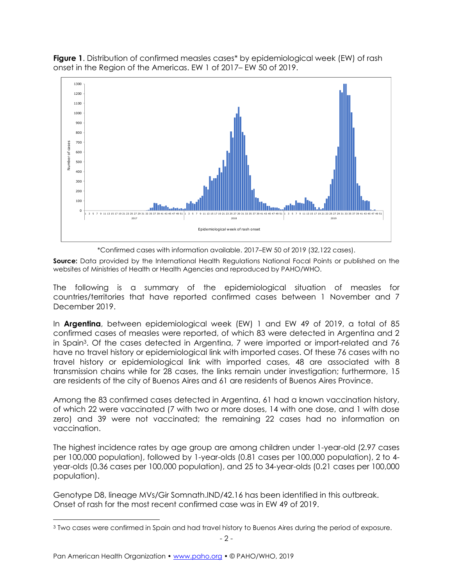**Figure 1**. Distribution of confirmed measles cases\* by epidemiological week (EW) of rash onset in the Region of the Americas. EW 1 of 2017– EW 50 of 2019.



\*Confirmed cases with information available. 2017–EW 50 of 2019 (32,122 cases).

**Source:** Data provided by the International Health Regulations National Focal Points or published on the websites of Ministries of Health or Health Agencies and reproduced by PAHO/WHO.

The following is a summary of the epidemiological situation of measles for countries/territories that have reported confirmed cases between 1 November and 7 December 2019.

In **Argentina**, between epidemiological week (EW) 1 and EW 49 of 2019, a total of 85 confirmed cases of measles were reported, of which 83 were detected in Argentina and 2 in Spain3. Of the cases detected in Argentina, 7 were imported or import-related and 76 have no travel history or epidemiological link with imported cases. Of these 76 cases with no travel history or epidemiological link with imported cases, 48 are associated with 8 transmission chains while for 28 cases, the links remain under investigation; furthermore, 15 are residents of the city of Buenos Aires and 61 are residents of Buenos Aires Province.

Among the 83 confirmed cases detected in Argentina, 61 had a known vaccination history, of which 22 were vaccinated (7 with two or more doses, 14 with one dose, and 1 with dose zero) and 39 were not vaccinated; the remaining 22 cases had no information on vaccination.

The highest incidence rates by age group are among children under 1-year-old (2.97 cases per 100,000 population), followed by 1-year-olds (0.81 cases per 100,000 population), 2 to 4 year-olds (0.36 cases per 100,000 population), and 25 to 34-year-olds (0.21 cases per 100,000 population).

Genotype D8, lineage MVs/Gir Somnath.IND/42.16 has been identified in this outbreak. Onset of rash for the most recent confirmed case was in EW 49 of 2019.

<sup>3</sup> Two cases were confirmed in Spain and had travel history to Buenos Aires during the period of exposure.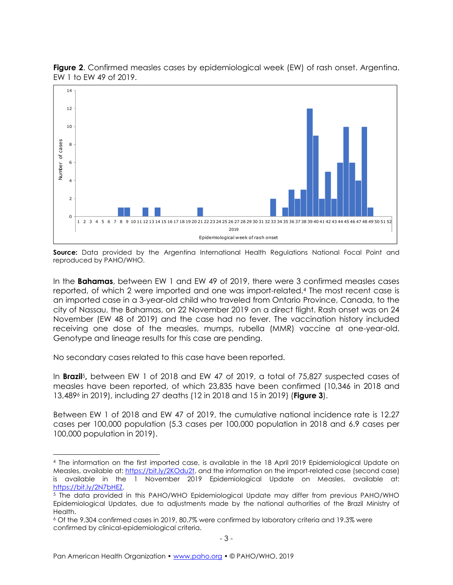

**Figure 2**. Confirmed measles cases by epidemiological week (EW) of rash onset. Argentina. EW 1 to EW 49 of 2019.

**Source:** Data provided by the Argentina International Health Regulations National Focal Point and reproduced by PAHO/WHO.

In the **Bahamas**, between EW 1 and EW 49 of 2019, there were 3 confirmed measles cases reported, of which 2 were imported and one was import-related.<sup>4</sup> The most recent case is an imported case in a 3-year-old child who traveled from Ontario Province, Canada, to the city of Nassau, the Bahamas, on 22 November 2019 on a direct flight. Rash onset was on 24 November (EW 48 of 2019) and the case had no fever. The vaccination history included receiving one dose of the measles, mumps, rubella (MMR) vaccine at one-year-old. Genotype and lineage results for this case are pending.

No secondary cases related to this case have been reported.

In **Brazil**5**,** between EW 1 of 2018 and EW 47 of 2019, a total of 75,827 suspected cases of measles have been reported, of which 23,835 have been confirmed (10,346 in 2018 and 13,489<sup>6</sup> in 2019), including 27 deaths (12 in 2018 and 15 in 2019) (**Figure 3**).

Between EW 1 of 2018 and EW 47 of 2019, the cumulative national incidence rate is 12.27 cases per 100,000 population (5.3 cases per 100,000 population in 2018 and 6.9 cases per 100,000 population in 2019).

<sup>4</sup> The information on the first imported case, is available in the 18 April 2019 Epidemiological Update on Measles, available at: [https://bit.ly/2KOdu2t,](https://nam05.safelinks.protection.outlook.com/?url=https%3A%2F%2Fbit.ly%2F2KOdu2t&data=02%7C01%7Cihr%40paho.org%7Cb689470491b3447d585a08d6c4d28b9b%7Ce610e79c2ec04e0f8a141e4b101519f7%7C0%7C0%7C636912805911168930&sdata=xMpHcihF2rBkhjs9r89AJIeRX2uxNnyxkH1rPPTCpVU%3D&reserved=0) and the information on the import-related case (second case) is available in the 1 November 2019 Epidemiological Update on Measles, available at: [https://bit.ly/2N7bHEZ.](https://nam12.safelinks.protection.outlook.com/?url=https%3A%2F%2Fbit.ly%2F2N7bHEZ&data=02%7C01%7Cihr%40paho.org%7Cdbdc1912f1af4ad873ed08d75f1e280a%7Ce610e79c2ec04e0f8a141e4b101519f7%7C0%7C0%7C637082455449188713&sdata=50asIbMN4kUJgCuAwY9y8byZZbRfjCsFh0PL0R1eSvI%3D&reserved=0)

<sup>5</sup> The data provided in this PAHO/WHO Epidemiological Update may differ from previous PAHO/WHO Epidemiological Updates, due to adjustments made by the national authorities of the Brazil Ministry of Health.

<sup>6</sup> Of the 9,304 confirmed cases in 2019, 80.7% were confirmed by laboratory criteria and 19.3% were confirmed by clinical-epidemiological criteria.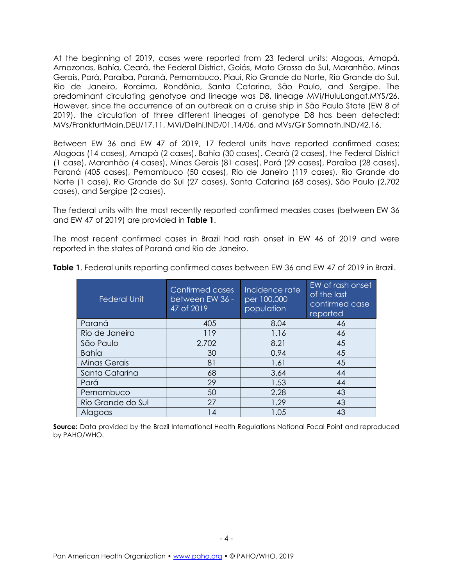At the beginning of 2019, cases were reported from 23 federal units: Alagoas, Amapá, Amazonas, Bahía, Ceará, the Federal District, Goiás, Mato Grosso do Sul, Maranhão, Minas Gerais, Pará, Paraíba, Paraná, Pernambuco, Piauí, Rio Grande do Norte, Rio Grande do Sul, Rio de Janeiro, Roraima, Rondônia, Santa Catarina, São Paulo, and Sergipe. The predominant circulating genotype and lineage was D8, lineage MVi/HuluLangat.MYS/26. However, since the occurrence of an outbreak on a cruise ship in São Paulo State (EW 8 of 2019), the circulation of three different lineages of genotype D8 has been detected: MVs/FrankfurtMain.DEU/17.11, MVi/Delhi.IND/01.14/06, and MVs/Gir Somnath.IND/42.16.

Between EW 36 and EW 47 of 2019, 17 federal units have reported confirmed cases: Alagoas (14 cases), Amapá (2 cases), Bahía (30 cases), Ceará (2 cases), the Federal District (1 case), Maranhão (4 cases), Minas Gerais (81 cases), Pará (29 cases), Paraíba (28 cases), Paraná (405 cases), Pernambuco (50 cases), Rio de Janeiro (119 cases), Rio Grande do Norte (1 case), Rio Grande do Sul (27 cases), Santa Catarina (68 cases), São Paulo (2,702 cases), and Sergipe (2 cases).

The federal units with the most recently reported confirmed measles cases (between EW 36 and EW 47 of 2019) are provided in **Table 1**.

The most recent confirmed cases in Brazil had rash onset in EW 46 of 2019 and were reported in the states of Paraná and Rio de Janeiro.

| <b>Federal Unit</b> | Confirmed cases<br>between EW 36 -<br>47 of 2019 | Incidence rate<br>per 100,000<br>population | EW of rash onset<br>of the last<br>confirmed case<br>reported |
|---------------------|--------------------------------------------------|---------------------------------------------|---------------------------------------------------------------|
| Paraná              | 405                                              | 8.04                                        | 46                                                            |
| Rio de Janeiro      | 119                                              | 1.16                                        | 46                                                            |
| São Paulo           | 2,702                                            | 8.21                                        | 45                                                            |
| <b>Bahía</b>        | 30                                               | 0.94                                        | 45                                                            |
| <b>Minas Gerais</b> | 81                                               | 1.61                                        | 45                                                            |
| Santa Catarina      | 68                                               | 3.64                                        | 44                                                            |
| Pará                | 29                                               | 1.53                                        | 44                                                            |
| Pernambuco          | 50                                               | 2.28                                        | 43                                                            |
| Rio Grande do Sul   | 27                                               | 1.29                                        | 43                                                            |
| Alagoas             | l 4                                              | 1.05                                        | 43                                                            |

**Table 1**. Federal units reporting confirmed cases between EW 36 and EW 47 of 2019 in Brazil.

**Source:** Data provided by the Brazil International Health Regulations National Focal Point and reproduced by PAHO/WHO.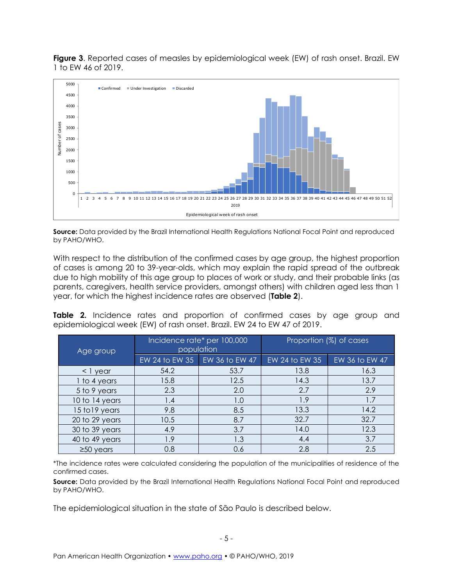**Figure 3**. Reported cases of measles by epidemiological week (EW) of rash onset. Brazil. EW 1 to EW 46 of 2019.



**Source:** Data provided by the Brazil International Health Regulations National Focal Point and reproduced by PAHO/WHO.

With respect to the distribution of the confirmed cases by age group, the highest proportion of cases is among 20 to 39-year-olds, which may explain the rapid spread of the outbreak due to high mobility of this age group to places of work or study, and their probable links (as parents, caregivers, health service providers, amongst others) with children aged less than 1 year, for which the highest incidence rates are observed (**Table 2**).

**Table 2.** Incidence rates and proportion of confirmed cases by age group and epidemiological week (EW) of rash onset. Brazil. EW 24 to EW 47 of 2019.

| Age group       | Incidence rate* per 100,000<br>population |                                 | Proportion (%) of cases |                |
|-----------------|-------------------------------------------|---------------------------------|-------------------------|----------------|
|                 |                                           | EW 24 to EW 35   EW 36 to EW 47 | EW 24 to EW 35          | EW 36 to EW 47 |
| < 1 year        | 54.2                                      | 53.7                            | 13.8                    | 16.3           |
| 1 to 4 years    | 15.8                                      | 12.5                            | 14.3                    | 13.7           |
| 5 to 9 years    | 2.3                                       | 2.0                             | 2.7                     | 2.9            |
| 10 to 14 years  | 1.4                                       | 1.0                             | 1.9                     | 1.7            |
| 15 to 19 years  | 9.8                                       | 8.5                             | 13.3                    | 14.2           |
| 20 to 29 years  | 10.5                                      | 8.7                             | 32.7                    | 32.7           |
| 30 to 39 years  | 4.9                                       | 3.7                             | 14.0                    | 12.3           |
| 40 to 49 years  | 1.9                                       | 1.3                             | 4.4                     | 3.7            |
| $\geq$ 50 years | 0.8                                       | 0.6                             | 2.8                     | 2.5            |

\*The incidence rates were calculated considering the population of the municipalities of residence of the confirmed cases.

**Source:** Data provided by the Brazil International Health Regulations National Focal Point and reproduced by PAHO/WHO.

The epidemiological situation in the state of São Paulo is described below.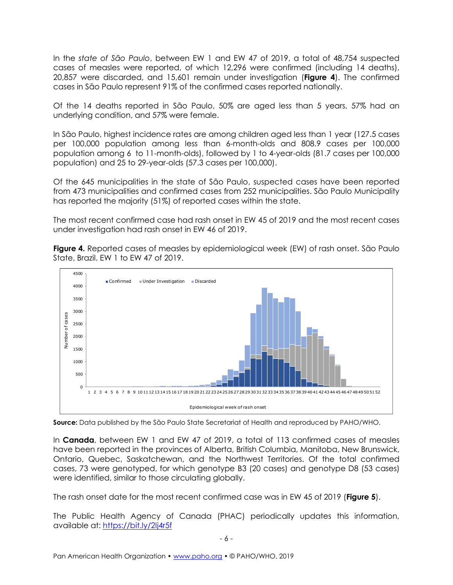In the *state of São Paulo*, between EW 1 and EW 47 of 2019, a total of 48,754 suspected cases of measles were reported, of which 12,296 were confirmed (including 14 deaths), 20,857 were discarded, and 15,601 remain under investigation (**Figure 4**). The confirmed cases in São Paulo represent 91% of the confirmed cases reported nationally.

Of the 14 deaths reported in São Paulo, 50% are aged less than 5 years, 57% had an underlying condition, and 57% were female.

In São Paulo, highest incidence rates are among children aged less than 1 year (127.5 cases per 100,000 population among less than 6-month-olds and 808.9 cases per 100,000 population among 6 to 11-month-olds), followed by 1 to 4-year-olds (81.7 cases per 100,000 population) and 25 to 29-year-olds (57.3 cases per 100,000).

Of the 645 municipalities in the state of São Paulo, suspected cases have been reported from 473 municipalities and confirmed cases from 252 municipalities. São Paulo Municipality has reported the majority (51%) of reported cases within the state.

The most recent confirmed case had rash onset in EW 45 of 2019 and the most recent cases under investigation had rash onset in EW 46 of 2019.





**Source:** Data published by the São Paulo State Secretariat of Health and reproduced by PAHO/WHO.

In **Canada**, between EW 1 and EW 47 of 2019, a total of 113 confirmed cases of measles have been reported in the provinces of Alberta, British Columbia, Manitoba, New Brunswick, Ontario, Quebec, Saskatchewan, and the Northwest Territories. Of the total confirmed cases, 73 were genotyped, for which genotype B3 (20 cases) and genotype D8 (53 cases) were identified, similar to those circulating globally.

The rash onset date for the most recent confirmed case was in EW 45 of 2019 (**Figure 5**).

The Public Health Agency of Canada (PHAC) periodically updates this information, available at: <https://bit.ly/2Ij4r5f>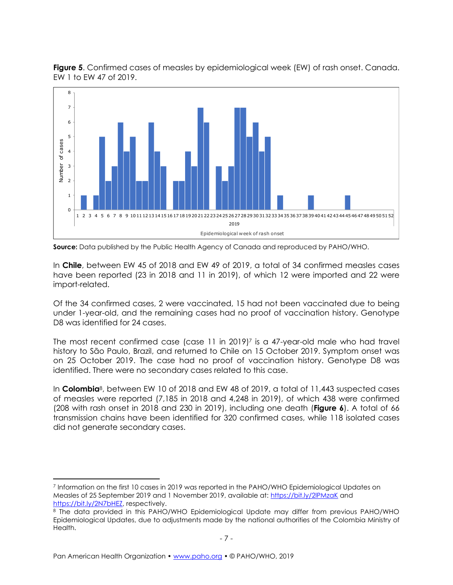

**Figure 5**. Confirmed cases of measles by epidemiological week (EW) of rash onset. Canada. EW 1 to EW 47 of 2019.

In **Chile**, between EW 45 of 2018 and EW 49 of 2019, a total of 34 confirmed measles cases have been reported (23 in 2018 and 11 in 2019), of which 12 were imported and 22 were import-related.

Of the 34 confirmed cases, 2 were vaccinated, 15 had not been vaccinated due to being under 1-year-old, and the remaining cases had no proof of vaccination history. Genotype D8 was identified for 24 cases.

The most recent confirmed case (case 11 in 2019) <sup>7</sup> is a 47-year-old male who had travel history to São Paulo, Brazil, and returned to Chile on 15 October 2019. Symptom onset was on 25 October 2019. The case had no proof of vaccination history. Genotype D8 was identified. There were no secondary cases related to this case.

In **Colombia**8, between EW 10 of 2018 and EW 48 of 2019, a total of 11,443 suspected cases of measles were reported (7,185 in 2018 and 4,248 in 2019), of which 438 were confirmed (208 with rash onset in 2018 and 230 in 2019), including one death (**Figure 6**). A total of 66 transmission chains have been identified for 320 confirmed cases, while 118 isolated cases did not generate secondary cases.

**Source:** Data published by the Public Health Agency of Canada and reproduced by PAHO/WHO.

<sup>7</sup> Information on the first 10 cases in 2019 was reported in the PAHO/WHO Epidemiological Updates on Measles of 25 September 2019 and 1 November 2019, available at[: https://bit.ly/2lPMzaK](https://nam05.safelinks.protection.outlook.com/?url=https%3A%2F%2Fbit.ly%2F2lPMzaK&data=02%7C01%7Cihr%40paho.org%7C02499e40156440fad96108d7420e0389%7Ce610e79c2ec04e0f8a141e4b101519f7%7C0%7C0%7C637050500277058606&sdata=VKNsxlQpg34gX0TRZWelIyQEp4c1pO2DqZC%2BUTwjpco%3D&reserved=0) and [https://bit.ly/2N7bHEZ,](https://nam12.safelinks.protection.outlook.com/?url=https%3A%2F%2Fbit.ly%2F2N7bHEZ&data=02%7C01%7Cihr%40paho.org%7Cdbdc1912f1af4ad873ed08d75f1e280a%7Ce610e79c2ec04e0f8a141e4b101519f7%7C0%7C0%7C637082455449188713&sdata=50asIbMN4kUJgCuAwY9y8byZZbRfjCsFh0PL0R1eSvI%3D&reserved=0) respectively.

<sup>8</sup> The data provided in this PAHO/WHO Epidemiological Update may differ from previous PAHO/WHO Epidemiological Updates, due to adjustments made by the national authorities of the Colombia Ministry of Health.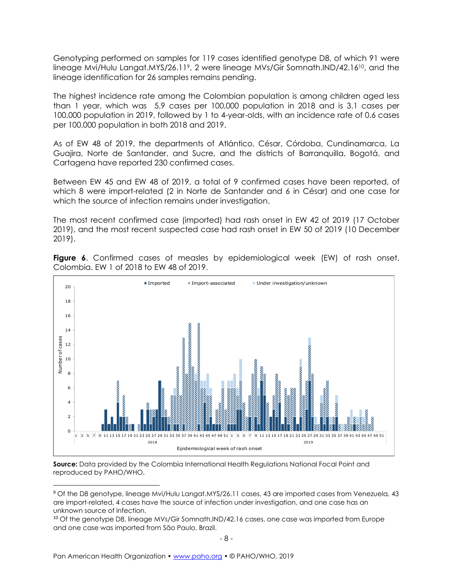Genotyping performed on samples for 119 cases identified genotype D8, of which 91 were lineage Mvi/Hulu Langat.MYS/26.119, 2 were lineage MVs/Gir Somnath.IND/42.1610, and the lineage identification for 26 samples remains pending.

The highest incidence rate among the Colombian population is among children aged less than 1 year, which was 5.9 cases per 100,000 population in 2018 and is 3.1 cases per 100,000 population in 2019, followed by 1 to 4-year-olds, with an incidence rate of 0.6 cases per 100,000 population in both 2018 and 2019.

As of EW 48 of 2019, the departments of Atlántico, César, Córdoba, Cundinamarca, La Guajira, Norte de Santander, and Sucre, and the districts of Barranquilla, Bogotá, and Cartagena have reported 230 confirmed cases.

Between EW 45 and EW 48 of 2019, a total of 9 confirmed cases have been reported, of which 8 were import-related (2 in Norte de Santander and 6 in César) and one case for which the source of infection remains under investigation.

The most recent confirmed case (imported) had rash onset in EW 42 of 2019 (17 October 2019), and the most recent suspected case had rash onset in EW 50 of 2019 (10 December 2019).



**Figure 6**. Confirmed cases of measles by epidemiological week (EW) of rash onset. Colombia. EW 1 of 2018 to EW 48 of 2019.

**Source:** Data provided by the Colombia International Health Regulations National Focal Point and reproduced by PAHO/WHO.

<sup>9</sup> Of the D8 genotype, lineage Mvi/Hulu Langat.MYS/26.11 cases, 43 are imported cases from Venezuela, 43 are import-related, 4 cases have the source of infection under investigation, and one case has an unknown source of infection.

<sup>&</sup>lt;sup>10</sup> Of the genotype D8, lineage MVs/Gir Somnath.IND/42.16 cases, one case was imported from Europe and one case was imported from São Paulo, Brazil.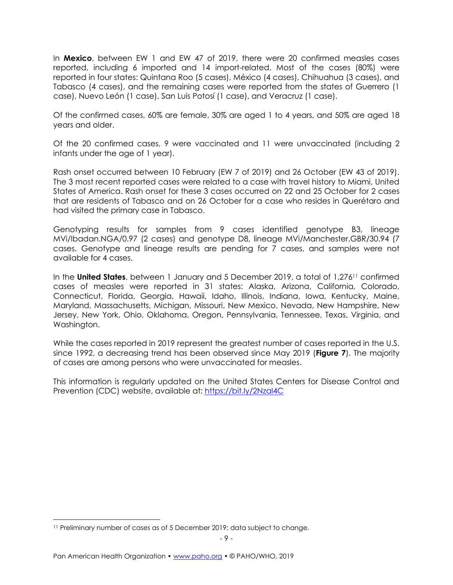In **Mexico**, between EW 1 and EW 47 of 2019, there were 20 confirmed measles cases reported, including 6 imported and 14 import-related. Most of the cases (80%) were reported in four states: Quintana Roo (5 cases), México (4 cases), Chihuahua (3 cases), and Tabasco (4 cases), and the remaining cases were reported from the states of Guerrero (1 case), Nuevo León (1 case), San Luis Potosí (1 case), and Veracruz (1 case).

Of the confirmed cases, 60% are female, 30% are aged 1 to 4 years, and 50% are aged 18 years and older.

Of the 20 confirmed cases, 9 were vaccinated and 11 were unvaccinated (including 2 infants under the age of 1 year).

Rash onset occurred between 10 February (EW 7 of 2019) and 26 October (EW 43 of 2019). The 3 most recent reported cases were related to a case with travel history to Miami, United States of America. Rash onset for these 3 cases occurred on 22 and 25 October for 2 cases that are residents of Tabasco and on 26 October for a case who resides in Querétaro and had visited the primary case in Tabasco.

Genotyping results for samples from 9 cases identified genotype B3, lineage MVi/Ibadan.NGA/0.97 (2 cases) and genotype D8, lineage MVi/Manchester.GBR/30.94 (7 cases. Genotype and lineage results are pending for 7 cases, and samples were not available for 4 cases.

In the **United States**, between 1 January and 5 December 2019, a total of 1,276<sup>11</sup> confirmed cases of measles were reported in 31 states: Alaska, Arizona, California, Colorado, Connecticut, Florida, Georgia, Hawaii, Idaho, Illinois, Indiana, Iowa, Kentucky, Maine, Maryland, Massachusetts, Michigan, Missouri, New Mexico, Nevada, New Hampshire, New Jersey, New York, Ohio, Oklahoma, Oregon, Pennsylvania, Tennessee, Texas, Virginia, and Washington.

While the cases reported in 2019 represent the greatest number of cases reported in the U.S. since 1992, a decreasing trend has been observed since May 2019 (**Figure 7**). The majority of cases are among persons who were unvaccinated for measles.

This information is regularly updated on the United States Centers for Disease Control and Prevention (CDC) website, available at:<https://bit.ly/2Nzal4C>

<sup>11</sup> Preliminary number of cases as of 5 December 2019; data subject to change.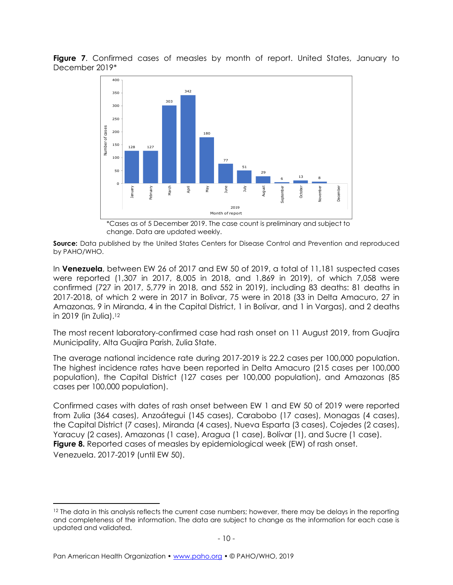**Figure 7**. Confirmed cases of measles by month of report. United States, January to December 2019\*



\*Cases as of 5 December 2019. The case count is preliminary and subject to change. Data are updated weekly.

**Source:** Data published by the United States Centers for Disease Control and Prevention and reproduced by PAHO/WHO.

In **Venezuela**, between EW 26 of 2017 and EW 50 of 2019, a total of 11,181 suspected cases were reported (1,307 in 2017, 8,005 in 2018, and 1,869 in 2019), of which 7,058 were confirmed (727 in 2017, 5,779 in 2018, and 552 in 2019), including 83 deaths: 81 deaths in 2017-2018, of which 2 were in 2017 in Bolivar, 75 were in 2018 (33 in Delta Amacuro, 27 in Amazonas, 9 in Miranda, 4 in the Capital District, 1 in Bolívar, and 1 in Vargas), and 2 deaths in 2019 (in Zulia).<sup>12</sup>

The most recent laboratory-confirmed case had rash onset on 11 August 2019, from Guajira Municipality, Alta Guajira Parish, Zulia State.

The average national incidence rate during 2017-2019 is 22.2 cases per 100,000 population. The highest incidence rates have been reported in Delta Amacuro (215 cases per 100,000 population), the Capital District (127 cases per 100,000 population), and Amazonas (85 cases per 100,000 population).

Confirmed cases with dates of rash onset between EW 1 and EW 50 of 2019 were reported from Zulia (364 cases), Anzoátegui (145 cases), Carabobo (17 cases), Monagas (4 cases), the Capital District (7 cases), Miranda (4 cases), Nueva Esparta (3 cases), Cojedes (2 cases), Yaracuy (2 cases), Amazonas (1 case), Aragua (1 case), Bolívar (1), and Sucre (1 case). **Figure 8.** Reported cases of measles by epidemiological week (EW) of rash onset. Venezuela. 2017-2019 (until EW 50).

<sup>&</sup>lt;sup>12</sup> The data in this analysis reflects the current case numbers; however, there may be delays in the reporting and completeness of the information. The data are subject to change as the information for each case is updated and validated.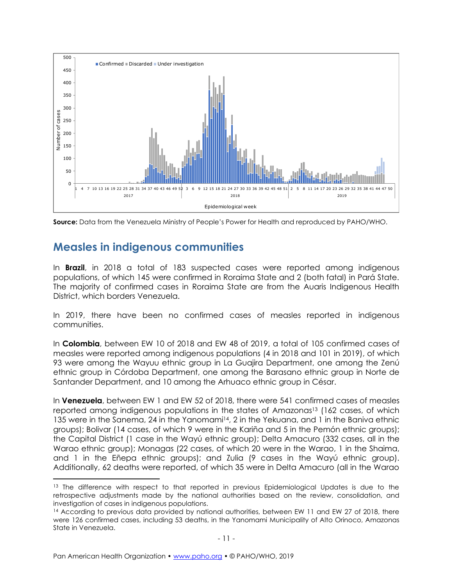



### **Measles in indigenous communities**

In **Brazil**, in 2018 a total of 183 suspected cases were reported among indigenous populations, of which 145 were confirmed in Roraima State and 2 (both fatal) in Pará State. The majority of confirmed cases in Roraima State are from the Auaris Indigenous Health District, which borders Venezuela.

In 2019, there have been no confirmed cases of measles reported in indigenous communities.

In **Colombia**, between EW 10 of 2018 and EW 48 of 2019, a total of 105 confirmed cases of measles were reported among indigenous populations (4 in 2018 and 101 in 2019), of which 93 were among the Wayuu ethnic group in La Guajira Department, one among the Zenú ethnic group in Córdoba Department, one among the Barasano ethnic group in Norte de Santander Department, and 10 among the Arhuaco ethnic group in César.

In **Venezuela**, between EW 1 and EW 52 of 2018, there were 541 confirmed cases of measles reported among indigenous populations in the states of Amazonas<sup>13</sup> (162 cases, of which 135 were in the Sanema, 24 in the Yanomami<sup>14</sup>, 2 in the Yekuana, and 1 in the Baniva ethnic groups); Bolivar (14 cases, of which 9 were in the Kariña and 5 in the Pemón ethnic groups); the Capital District (1 case in the Wayú ethnic group); Delta Amacuro (332 cases, all in the Warao ethnic group); Monagas (22 cases, of which 20 were in the Warao, 1 in the Shaima, and 1 in the Eñepa ethnic groups); and Zulia (9 cases in the Wayú ethnic group). Additionally, 62 deaths were reported, of which 35 were in Delta Amacuro (all in the Warao

<sup>&</sup>lt;sup>13</sup> The difference with respect to that reported in previous Epidemiological Updates is due to the retrospective adjustments made by the national authorities based on the review, consolidation, and investigation of cases in indigenous populations.

<sup>&</sup>lt;sup>14</sup> According to previous data provided by national authorities, between EW 11 and EW 27 of 2018, there were 126 confirmed cases, including 53 deaths, in the Yanomami Municipality of Alto Orinoco, Amazonas State in Venezuela.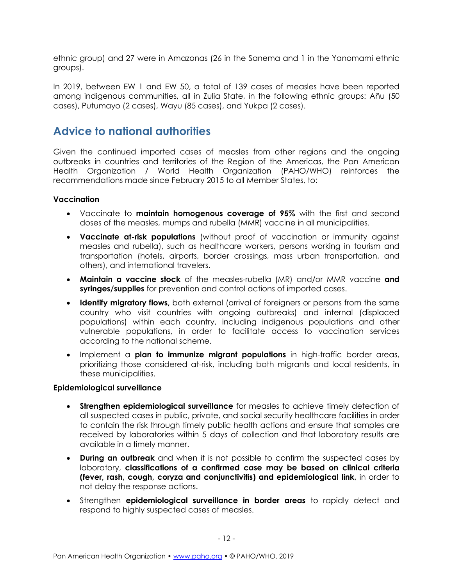ethnic group) and 27 were in Amazonas (26 in the Sanema and 1 in the Yanomami ethnic groups).

In 2019, between EW 1 and EW 50, a total of 139 cases of measles have been reported among indigenous communities, all in Zulia State, in the following ethnic groups: Añu (50 cases), Putumayo (2 cases), Wayu (85 cases), and Yukpa (2 cases).

### **Advice to national authorities**

Given the continued imported cases of measles from other regions and the ongoing outbreaks in countries and territories of the Region of the Americas, the Pan American Health Organization / World Health Organization (PAHO/WHO) reinforces the recommendations made since February 2015 to all Member States, to:

### **Vaccination**

- Vaccinate to **maintain homogenous coverage of 95%** with the first and second doses of the measles, mumps and rubella (MMR) vaccine in all municipalities*.*
- **Vaccinate at-risk populations** (without proof of vaccination or immunity against measles and rubella), such as healthcare workers, persons working in tourism and transportation (hotels, airports, border crossings, mass urban transportation, and others), and international travelers.
- **Maintain a vaccine stock** of the measles-rubella (MR) and/or MMR vaccine **and syringes/supplies** for prevention and control actions of imported cases.
- **Identify migratory flows,** both external (arrival of foreigners or persons from the same country who visit countries with ongoing outbreaks) and internal (displaced populations) within each country, including indigenous populations and other vulnerable populations, in order to facilitate access to vaccination services according to the national scheme.
- Implement a **plan to immunize migrant populations** in high-traffic border areas, prioritizing those considered at-risk, including both migrants and local residents, in these municipalities.

### **Epidemiological surveillance**

- **Strengthen epidemiological surveillance** for measles to achieve timely detection of all suspected cases in public, private, and social security healthcare facilities in order to contain the risk through timely public health actions and ensure that samples are received by laboratories within 5 days of collection and that laboratory results are available in a timely manner.
- **During an outbreak** and when it is not possible to confirm the suspected cases by laboratory, **classifications of a confirmed case may be based on clinical criteria (fever, rash, cough, coryza and conjunctivitis) and epidemiological link**, in order to not delay the response actions.
- Strengthen **epidemiological surveillance in border areas** to rapidly detect and respond to highly suspected cases of measles.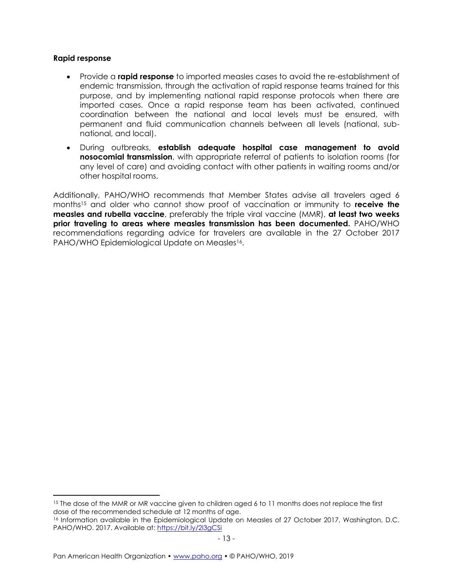#### **Rapid response**

- Provide a **rapid response** to imported measles cases to avoid the re-establishment of endemic transmission, through the activation of rapid response teams trained for this purpose, and by implementing national rapid response protocols when there are imported cases. Once a rapid response team has been activated, continued coordination between the national and local levels must be ensured, with permanent and fluid communication channels between all levels (national, subnational, and local).
- During outbreaks, **establish adequate hospital case management to avoid nosocomial transmission**, with appropriate referral of patients to isolation rooms (for any level of care) and avoiding contact with other patients in waiting rooms and/or other hospital rooms.

Additionally, PAHO/WHO recommends that Member States advise all travelers aged 6 months<sup>15</sup> and older who cannot show proof of vaccination or immunity to **receive the measles and rubella vaccine**, preferably the triple viral vaccine (MMR), **at least two weeks prior traveling to areas where measles transmission has been documented.** PAHO/WHO recommendations regarding advice for travelers are available in the 27 October 2017 PAHO/WHO Epidemiological Update on Measles<sup>16</sup>.

<sup>&</sup>lt;sup>15</sup> The dose of the MMR or MR vaccine given to children aged 6 to 11 months does not replace the first dose of the recommended schedule at 12 months of age.

<sup>16</sup> Information available in the Epidemiological Update on Measles of 27 October 2017, Washington, D.C. PAHO/WHO. 2017. Available at: https://bit.ly/2l3gCSi